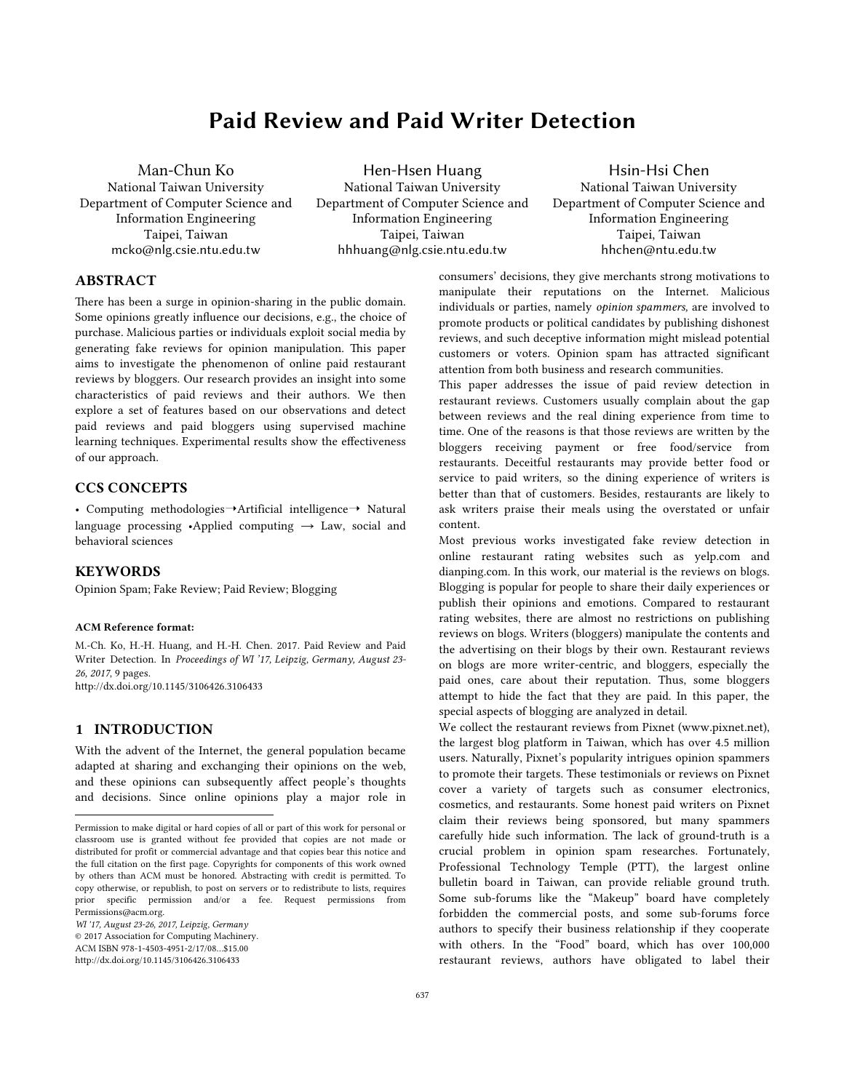# Paid Review and Paid Writer Detection

Man-Chun Ko National Taiwan University Department of Computer Science and Information Engineering Taipei, Taiwan mcko@nlg.csie.ntu.edu.tw

Hen-Hsen Huang National Taiwan University Department of Computer Science and Information Engineering Taipei, Taiwan hhhuang@nlg.csie.ntu.edu.tw

Hsin-Hsi Chen National Taiwan University Department of Computer Science and Information Engineering Taipei, Taiwan hhchen@ntu.edu.tw

# **ABSTRACT**

There has been a surge in opinion-sharing in the public domain. Some opinions greatly influence our decisions, e.g., the choice of purchase. Malicious parties or individuals exploit social media by generating fake reviews for opinion manipulation. This paper aims to investigate the phenomenon of online paid restaurant reviews by bloggers. Our research provides an insight into some characteristics of paid reviews and their authors. We then explore a set of features based on our observations and detect paid reviews and paid bloggers using supervised machine learning techniques. Experimental results show the effectiveness of our approach.

# CCS CONCEPTS

• Computing methodologies→Artificial intelligence→ Natural language processing •Applied computing  $\rightarrow$  Law, social and behavioral sciences

## KEYWORDS

Opinion Spam; Fake Review; Paid Review; Blogging

#### ACM Reference format:

M.-Ch. Ko, H.-H. Huang, and H.-H. Chen. 2017. Paid Review and Paid Writer Detection. In *Proceedings of WI '17, Leipzig, Germany, August 23- 26, 2017*, 9 pages. htp://dx.doi.org/10.1145/3106426.3106433

#### 1 INTRODUCTION

-

With the advent of the Internet, the general population became adapted at sharing and exchanging their opinions on the web, and these opinions can subsequently affect people's thoughts and decisions. Since online opinions play a major role in

*WI '17, August 23-26, 2017, Leipzig, Germany* 

© 2017 Association for Computing Machinery.

ACM ISBN 978-1-4503-4951-2/17/08…\$15.00

http://dx.doi.org/10.1145/3106426.3106433

consumers' decisions, they give merchants strong motivations to manipulate their reputations on the Internet. Malicious individuals or parties, namely *opinion spammers,* are involved to promote products or political candidates by publishing dishonest reviews, and such deceptive information might mislead potential customers or voters. Opinion spam has attracted significant attention from both business and research communities.

This paper addresses the issue of paid review detection in restaurant reviews. Customers usually complain about the gap between reviews and the real dining experience from time to time. One of the reasons is that those reviews are written by the bloggers receiving payment or free food/service from restaurants. Deceitful restaurants may provide better food or service to paid writers, so the dining experience of writers is better than that of customers. Besides, restaurants are likely to ask writers praise their meals using the overstated or unfair content.

Most previous works investigated fake review detection in online restaurant rating websites such as yelp.com and dianping.com. In this work, our material is the reviews on blogs. Blogging is popular for people to share their daily experiences or publish their opinions and emotions. Compared to restaurant rating websites, there are almost no restrictions on publishing reviews on blogs. Writers (bloggers) manipulate the contents and the advertising on their blogs by their own. Restaurant reviews on blogs are more writer-centric, and bloggers, especially the paid ones, care about their reputation. Thus, some bloggers attempt to hide the fact that they are paid. In this paper, the special aspects of blogging are analyzed in detail.

We collect the restaurant reviews from Pixnet (www.pixnet.net), the largest blog platform in Taiwan, which has over 4.5 million users. Naturally, Pixnet's popularity intrigues opinion spammers to promote their targets. These testimonials or reviews on Pixnet cover a variety of targets such as consumer electronics, cosmetics, and restaurants. Some honest paid writers on Pixnet claim their reviews being sponsored, but many spammers carefully hide such information. The lack of ground-truth is a crucial problem in opinion spam researches. Fortunately, Professional Technology Temple (PTT), the largest online bulletin board in Taiwan, can provide reliable ground truth. Some sub-forums like the "Makeup" board have completely forbidden the commercial posts, and some sub-forums force authors to specify their business relationship if they cooperate with others. In the "Food" board, which has over 100,000 restaurant reviews, authors have obligated to label their

Permission to make digital or hard copies of all or part of this work for personal or classroom use is granted without fee provided that copies are not made or distributed for profit or commercial advantage and that copies bear this notice and the full citation on the first page. Copyrights for components of this work owned by others than ACM must be honored. Abstracting with credit is permitted. To copy otherwise, or republish, to post on servers or to redistribute to lists, requires prior specific permission and/or a fee. Request permissions from Permissions@acm.org.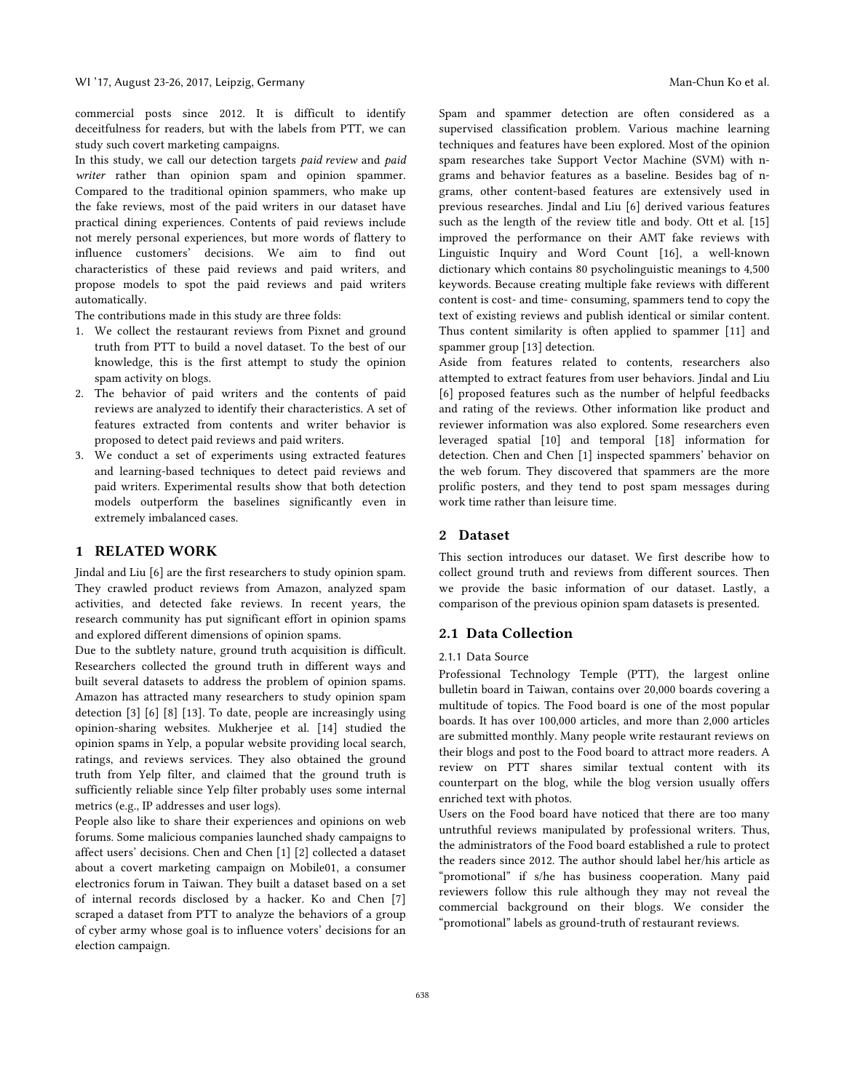commercial posts since 2012. It is difficult to identify deceitfulness for readers, but with the labels from PTT, we can study such covert marketing campaigns.

In this study, we call our detection targets *paid review* and *paid writer* rather than opinion spam and opinion spammer. Compared to the traditional opinion spammers, who make up the fake reviews, most of the paid writers in our dataset have practical dining experiences. Contents of paid reviews include not merely personal experiences, but more words of flattery to influence customers' decisions. We aim to find out characteristics of these paid reviews and paid writers, and propose models to spot the paid reviews and paid writers automatically.

The contributions made in this study are three folds:

- 1. We collect the restaurant reviews from Pixnet and ground truth from PTT to build a novel dataset. To the best of our knowledge, this is the first attempt to study the opinion spam activity on blogs.
- 2. The behavior of paid writers and the contents of paid reviews are analyzed to identify their characteristics. A set of features extracted from contents and writer behavior is proposed to detect paid reviews and paid writers.
- 3. We conduct a set of experiments using extracted features and learning-based techniques to detect paid reviews and paid writers. Experimental results show that both detection models outperform the baselines significantly even in extremely imbalanced cases.

## 1 RELATED WORK

Jindal and Liu [6] are the first researchers to study opinion spam. They crawled product reviews from Amazon, analyzed spam activities, and detected fake reviews. In recent years, the research community has put significant effort in opinion spams and explored different dimensions of opinion spams.

Due to the subtlety nature, ground truth acquisition is difficult. Researchers collected the ground truth in different ways and built several datasets to address the problem of opinion spams. Amazon has attracted many researchers to study opinion spam detection [3] [6] [8] [13]. To date, people are increasingly using opinion-sharing websites. Mukherjee et al. [14] studied the opinion spams in Yelp, a popular website providing local search, ratings, and reviews services. They also obtained the ground truth from Yelp filter, and claimed that the ground truth is sufficiently reliable since Yelp filter probably uses some internal metrics (e.g., IP addresses and user logs).

People also like to share their experiences and opinions on web forums. Some malicious companies launched shady campaigns to affect users' decisions. Chen and Chen [1] [2] collected a dataset about a covert marketing campaign on Mobile01, a consumer electronics forum in Taiwan. They built a dataset based on a set of internal records disclosed by a hacker. Ko and Chen [7] scraped a dataset from PTT to analyze the behaviors of a group of cyber army whose goal is to influence voters' decisions for an election campaign.

Spam and spammer detection are often considered as a supervised classification problem. Various machine learning techniques and features have been explored. Most of the opinion spam researches take Support Vector Machine (SVM) with ngrams and behavior features as a baseline. Besides bag of ngrams, other content-based features are extensively used in previous researches. Jindal and Liu [6] derived various features such as the length of the review title and body. Ott et al. [15] improved the performance on their AMT fake reviews with Linguistic Inquiry and Word Count [16], a well-known dictionary which contains 80 psycholinguistic meanings to 4,500 keywords. Because creating multiple fake reviews with different content is cost- and time- consuming, spammers tend to copy the text of existing reviews and publish identical or similar content. Thus content similarity is often applied to spammer [11] and spammer group [13] detection.

Aside from features related to contents, researchers also attempted to extract features from user behaviors. Jindal and Liu [6] proposed features such as the number of helpful feedbacks and rating of the reviews. Other information like product and reviewer information was also explored. Some researchers even leveraged spatial [10] and temporal [18] information for detection. Chen and Chen [1] inspected spammers' behavior on the web forum. They discovered that spammers are the more prolific posters, and they tend to post spam messages during work time rather than leisure time.

#### 2 Dataset

This section introduces our dataset. We first describe how to collect ground truth and reviews from different sources. Then we provide the basic information of our dataset. Lastly, a comparison of the previous opinion spam datasets is presented.

## 2.1 Data Collection

#### 2.1.1 Data Source

Professional Technology Temple (PTT), the largest online bulletin board in Taiwan, contains over 20,000 boards covering a multitude of topics. The Food board is one of the most popular boards. It has over 100,000 articles, and more than 2,000 articles are submitted monthly. Many people write restaurant reviews on their blogs and post to the Food board to attract more readers. A review on PTT shares similar textual content with its counterpart on the blog, while the blog version usually offers enriched text with photos.

Users on the Food board have noticed that there are too many untruthful reviews manipulated by professional writers. Thus, the administrators of the Food board established a rule to protect the readers since 2012. The author should label her/his article as "promotional" if s/he has business cooperation. Many paid reviewers follow this rule although they may not reveal the commercial background on their blogs. We consider the "promotional" labels as ground-truth of restaurant reviews.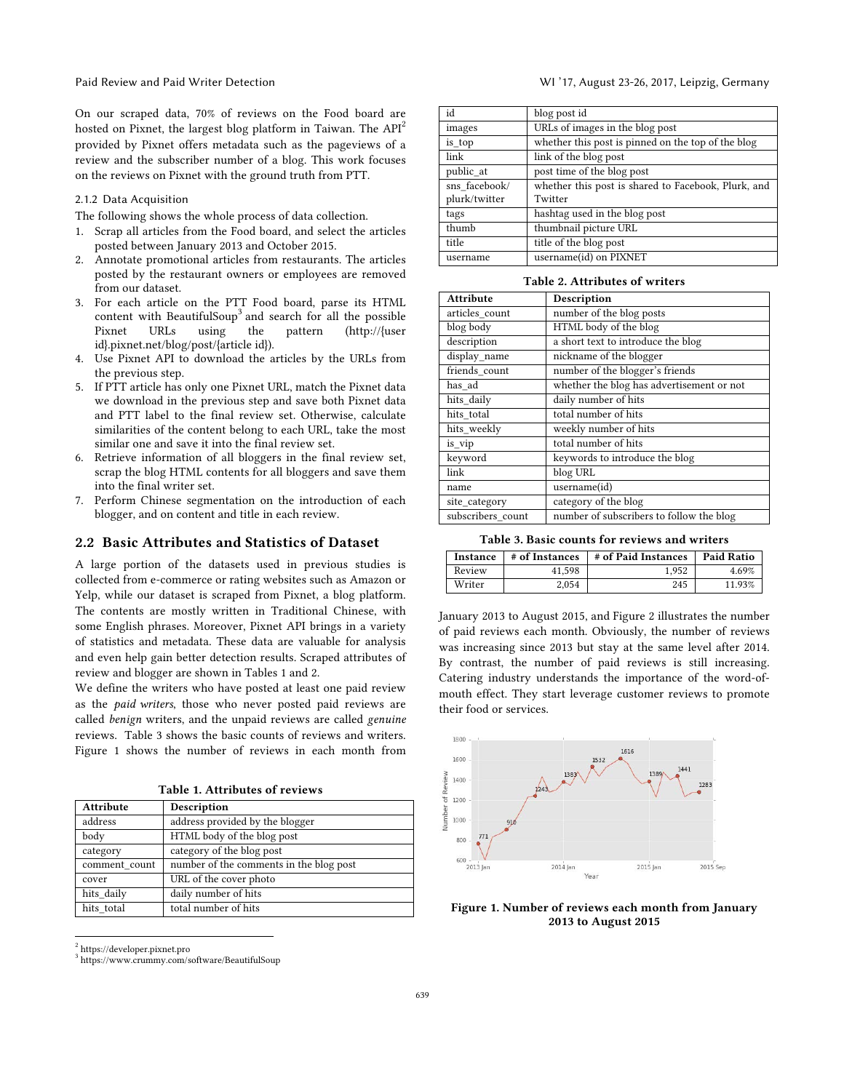On our scraped data, 70% of reviews on the Food board are hosted on Pixnet, the largest blog platform in Taiwan. The API<sup>2</sup> provided by Pixnet offers metadata such as the pageviews of a review and the subscriber number of a blog. This work focuses on the reviews on Pixnet with the ground truth from PTT.

#### 2.1.2 Data Acquisition

The following shows the whole process of data collection.

- 1. Scrap all articles from the Food board, and select the articles posted between January 2013 and October 2015.
- 2. Annotate promotional articles from restaurants. The articles posted by the restaurant owners or employees are removed from our dataset.
- 3. For each article on the PTT Food board, parse its HTML content with BeautifulSoup<sup>3</sup> and search for all the possible Pixnet URLs using the pattern (http://{user id}.pixnet.net/blog/post/{article id}).
- 4. Use Pixnet API to download the articles by the URLs from the previous step.
- 5. If PTT article has only one Pixnet URL, match the Pixnet data we download in the previous step and save both Pixnet data and PTT label to the final review set. Otherwise, calculate similarities of the content belong to each URL, take the most similar one and save it into the final review set.
- 6. Retrieve information of all bloggers in the final review set, scrap the blog HTML contents for all bloggers and save them into the final writer set.
- 7. Perform Chinese segmentation on the introduction of each blogger, and on content and title in each review.

#### 2.2 Basic Attributes and Statistics of Dataset

A large portion of the datasets used in previous studies is collected from e-commerce or rating websites such as Amazon or Yelp, while our dataset is scraped from Pixnet, a blog platform. The contents are mostly written in Traditional Chinese, with some English phrases. Moreover, Pixnet API brings in a variety of statistics and metadata. These data are valuable for analysis and even help gain better detection results. Scraped attributes of review and blogger are shown in Tables 1 and 2.

We define the writers who have posted at least one paid review as the *paid writers*, those who never posted paid reviews are called *benign* writers, and the unpaid reviews are called *genuine* reviews. Table 3 shows the basic counts of reviews and writers. Figure 1 shows the number of reviews in each month from

|  |  |  | Table 1. Attributes of reviews |  |  |
|--|--|--|--------------------------------|--|--|
|--|--|--|--------------------------------|--|--|

| <b>Attribute</b> | Description                             |
|------------------|-----------------------------------------|
| address          | address provided by the blogger         |
| body             | HTML body of the blog post              |
| category         | category of the blog post               |
| comment count    | number of the comments in the blog post |
| cover            | URL of the cover photo                  |
| hits daily       | daily number of hits                    |
| hits total       | total number of hits                    |

2 https://developer.pixnet.pro

<sup>3</sup> https://www.crummy.com/software/BeautifulSoup

| id            | blog post id                                        |
|---------------|-----------------------------------------------------|
| images        | URLs of images in the blog post                     |
| is top        | whether this post is pinned on the top of the blog  |
| link          | link of the blog post                               |
| public at     | post time of the blog post                          |
| sns facebook/ | whether this post is shared to Facebook, Plurk, and |
| plurk/twitter | Twitter                                             |
| tags          | hashtag used in the blog post                       |
| thumb         | thumbnail picture URL                               |
| title         | title of the blog post                              |
| username      | username(id) on PIXNET                              |

| Table 2. Attributes of writers |  |  |  |  |  |
|--------------------------------|--|--|--|--|--|
|--------------------------------|--|--|--|--|--|

| Attribute         | Description                               |
|-------------------|-------------------------------------------|
| articles count    | number of the blog posts                  |
| blog body         | HTML body of the blog                     |
| description       | a short text to introduce the blog        |
| display name      | nickname of the blogger                   |
| friends_count     | number of the blogger's friends           |
| has ad            | whether the blog has advertisement or not |
| hits daily        | daily number of hits                      |
| hits total        | total number of hits                      |
| hits_weekly       | weekly number of hits                     |
| is vip            | total number of hits                      |
| keyword           | keywords to introduce the blog            |
| link              | blog URL                                  |
| name              | username(id)                              |
| site_category     | category of the blog                      |
| subscribers count | number of subscribers to follow the blog  |

Table 3. Basic counts for reviews and writers

| Instance | # of Instances | # of Paid Instances | <b>Paid Ratio</b> |
|----------|----------------|---------------------|-------------------|
| Review   | 41.598         | 1.952               | 4.69%             |
| Writer   | 2.054          | 245                 | 11.93%            |

January 2013 to August 2015, and Figure 2 illustrates the number of paid reviews each month. Obviously, the number of reviews was increasing since 2013 but stay at the same level after 2014. By contrast, the number of paid reviews is still increasing. Catering industry understands the importance of the word-ofmouth effect. They start leverage customer reviews to promote their food or services.



Figure 1. Number of reviews each month from January 2013 to August 2015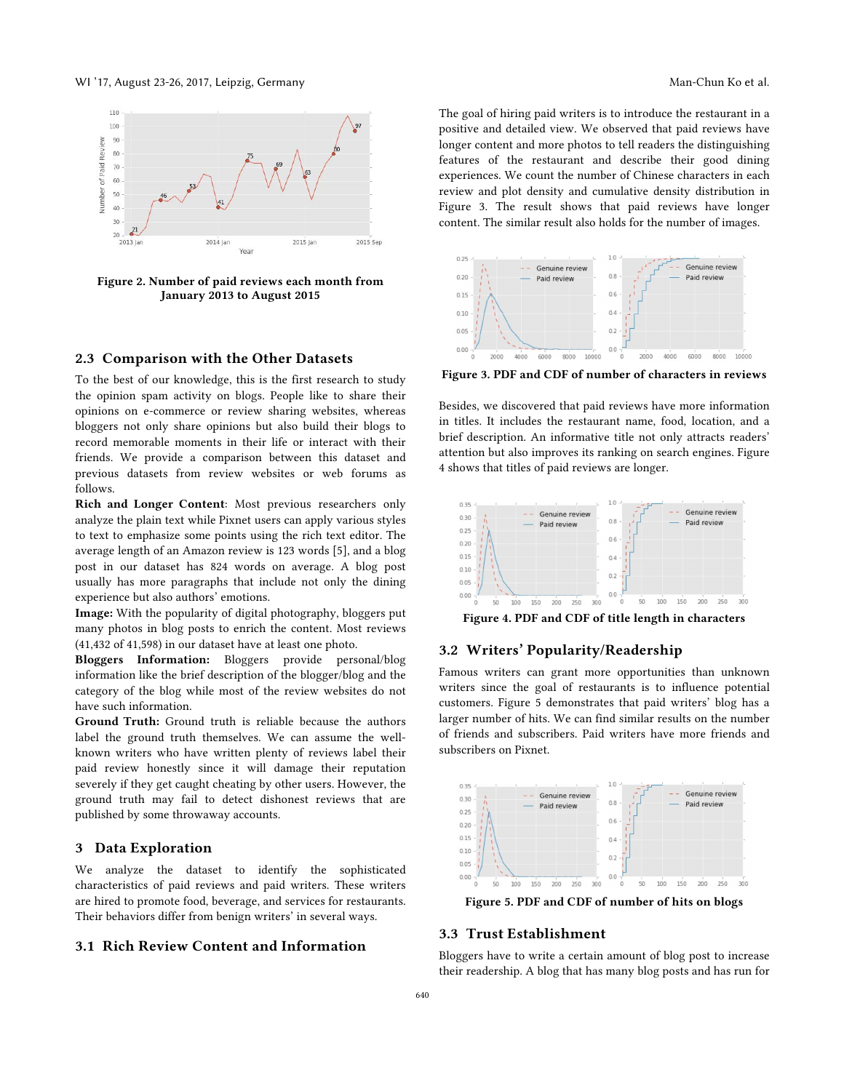

Figure 2. Number of paid reviews each month from January 2013 to August 2015

#### 2.3 Comparison with the Other Datasets

To the best of our knowledge, this is the first research to study the opinion spam activity on blogs. People like to share their opinions on e-commerce or review sharing websites, whereas bloggers not only share opinions but also build their blogs to record memorable moments in their life or interact with their friends. We provide a comparison between this dataset and previous datasets from review websites or web forums as follows.

Rich and Longer Content: Most previous researchers only analyze the plain text while Pixnet users can apply various styles to text to emphasize some points using the rich text editor. The average length of an Amazon review is 123 words [5], and a blog post in our dataset has 824 words on average. A blog post usually has more paragraphs that include not only the dining experience but also authors' emotions.

Image: With the popularity of digital photography, bloggers put many photos in blog posts to enrich the content. Most reviews (41,432 of 41,598) in our dataset have at least one photo.

Bloggers Information: Bloggers provide personal/blog information like the brief description of the blogger/blog and the category of the blog while most of the review websites do not have such information.

Ground Truth: Ground truth is reliable because the authors label the ground truth themselves. We can assume the wellknown writers who have written plenty of reviews label their paid review honestly since it will damage their reputation severely if they get caught cheating by other users. However, the ground truth may fail to detect dishonest reviews that are published by some throwaway accounts.

# 3 Data Exploration

We analyze the dataset to identify the sophisticated characteristics of paid reviews and paid writers. These writers are hired to promote food, beverage, and services for restaurants. Their behaviors differ from benign writers' in several ways.

## 3.1 Rich Review Content and Information

The goal of hiring paid writers is to introduce the restaurant in a positive and detailed view. We observed that paid reviews have longer content and more photos to tell readers the distinguishing features of the restaurant and describe their good dining experiences. We count the number of Chinese characters in each review and plot density and cumulative density distribution in Figure 3. The result shows that paid reviews have longer content. The similar result also holds for the number of images.



Figure 3. PDF and CDF of number of characters in reviews

Besides, we discovered that paid reviews have more information in titles. It includes the restaurant name, food, location, and a brief description. An informative title not only attracts readers' attention but also improves its ranking on search engines. Figure 4 shows that titles of paid reviews are longer.



Figure 4. PDF and CDF of title length in characters

# 3.2 Writers' Popularity/Readership

Famous writers can grant more opportunities than unknown writers since the goal of restaurants is to influence potential customers. Figure 5 demonstrates that paid writers' blog has a larger number of hits. We can find similar results on the number of friends and subscribers. Paid writers have more friends and subscribers on Pixnet.



Figure 5. PDF and CDF of number of hits on blogs

#### 3.3 Trust Establishment

Bloggers have to write a certain amount of blog post to increase their readership. A blog that has many blog posts and has run for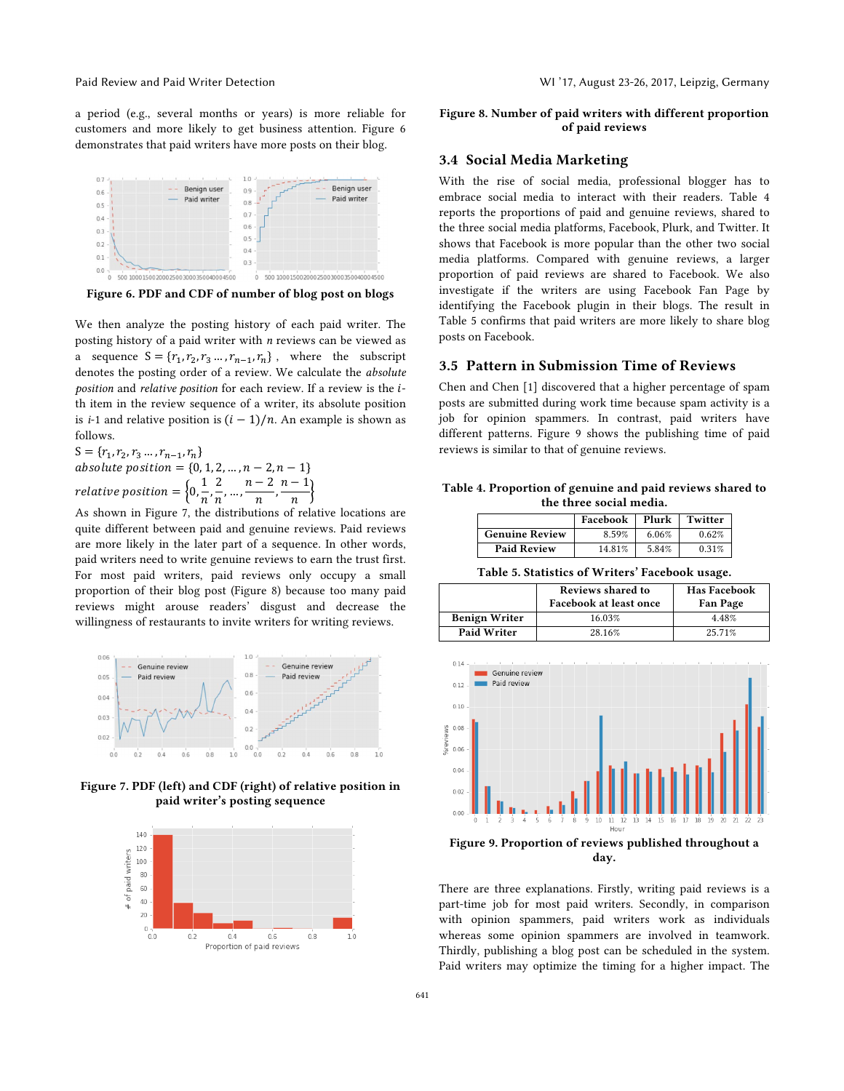a period (e.g., several months or years) is more reliable for customers and more likely to get business attention. Figure 6 demonstrates that paid writers have more posts on their blog.



Figure 6. PDF and CDF of number of blog post on blogs

We then analyze the posting history of each paid writer. The posting history of a paid writer with *n* reviews can be viewed as a sequence  $S = \{r_1, r_2, r_3 \dots, r_{n-1}, r_n\}$ , where the subscript denotes the posting order of a review. We calculate the *absolute position* and *relative position* for each review. If a review is the *i*th item in the review sequence of a writer, its absolute position is *i*-1 and relative position is  $(i - 1)/n$ . An example is shown as follows.

 $S = \{r_1, r_2, r_3 \dots, r_{n-1}, r_n\}$ absolute position =  $\{0, 1, 2, ..., n - 2, n - 1\}$ relative position =  $\left\{0, \frac{1}{n}, \frac{2}{n}, \dots, \frac{n-2}{n}, \frac{n-1}{n}\right\}$ n

As shown in Figure 7, the distributions of relative locations are quite different between paid and genuine reviews. Paid reviews are more likely in the later part of a sequence. In other words, paid writers need to write genuine reviews to earn the trust first. For most paid writers, paid reviews only occupy a small proportion of their blog post (Figure 8) because too many paid reviews might arouse readers' disgust and decrease the willingness of restaurants to invite writers for writing reviews.



Figure 7. PDF (left) and CDF (right) of relative position in paid writer's posting sequence



## Figure 8. Number of paid writers with different proportion of paid reviews

## 3.4 Social Media Marketing

With the rise of social media, professional blogger has to embrace social media to interact with their readers. Table 4 reports the proportions of paid and genuine reviews, shared to the three social media platforms, Facebook, Plurk, and Twitter. It shows that Facebook is more popular than the other two social media platforms. Compared with genuine reviews, a larger proportion of paid reviews are shared to Facebook. We also investigate if the writers are using Facebook Fan Page by identifying the Facebook plugin in their blogs. The result in Table 5 confirms that paid writers are more likely to share blog posts on Facebook.

## 3.5 Pattern in Submission Time of Reviews

Chen and Chen [1] discovered that a higher percentage of spam posts are submitted during work time because spam activity is a job for opinion spammers. In contrast, paid writers have different patterns. Figure 9 shows the publishing time of paid reviews is similar to that of genuine reviews.

Table 4. Proportion of genuine and paid reviews shared to the three social media.

|                       | Facebook | Plurk | Twitter |
|-----------------------|----------|-------|---------|
| <b>Genuine Review</b> | 8.59%    | 6.06% | 0.62%   |
| <b>Paid Review</b>    | 14.81%   | 5.84% | 0.31%   |

Table 5. Statistics of Writers' Facebook usage.

|                      | Reviews shared to<br>Facebook at least once | <b>Has Facebook</b><br><b>Fan Page</b> |
|----------------------|---------------------------------------------|----------------------------------------|
| <b>Benign Writer</b> | 16.03%                                      | 4.48%                                  |
| <b>Paid Writer</b>   | 28.16%                                      | 25.71%                                 |



Figure 9. Proportion of reviews published throughout a day.

There are three explanations. Firstly, writing paid reviews is a part-time job for most paid writers. Secondly, in comparison with opinion spammers, paid writers work as individuals whereas some opinion spammers are involved in teamwork. Thirdly, publishing a blog post can be scheduled in the system. Paid writers may optimize the timing for a higher impact. The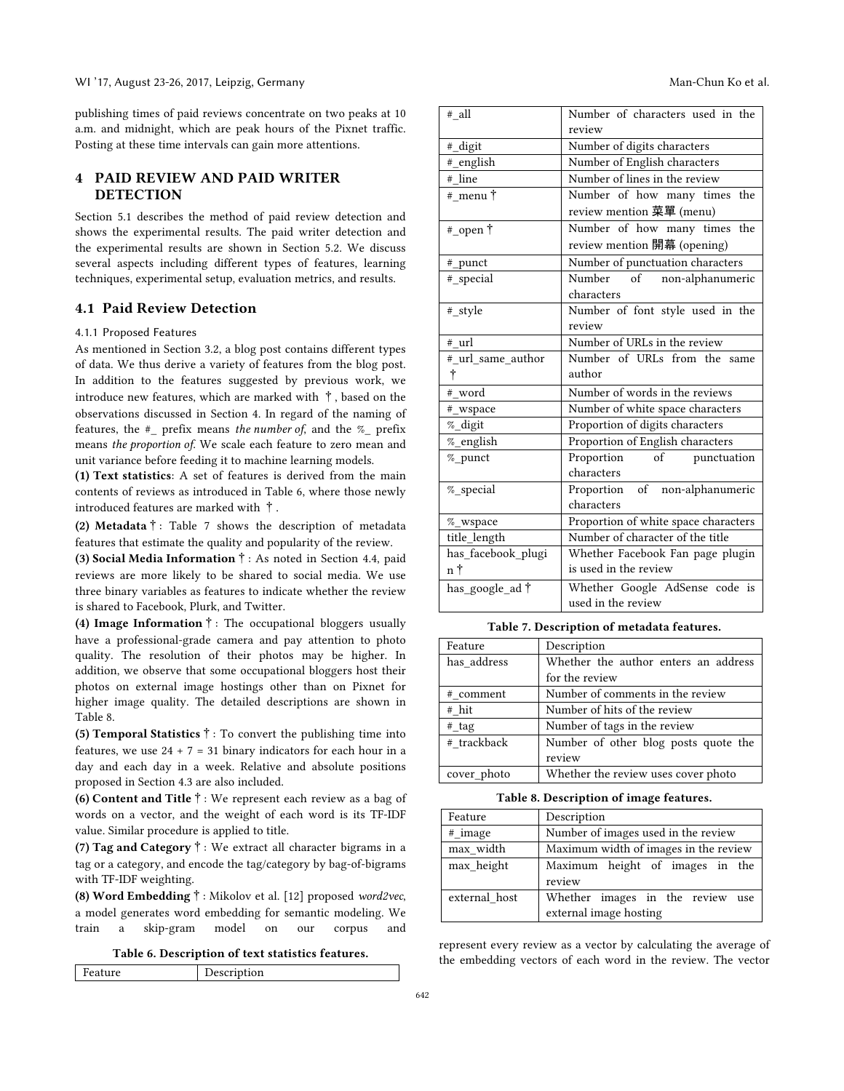publishing times of paid reviews concentrate on two peaks at 10 a.m. and midnight, which are peak hours of the Pixnet traffic. Posting at these time intervals can gain more attentions.

# 4 PAID REVIEW AND PAID WRITER **DETECTION**

Section 5.1 describes the method of paid review detection and shows the experimental results. The paid writer detection and the experimental results are shown in Section 5.2. We discuss several aspects including different types of features, learning techniques, experimental setup, evaluation metrics, and results.

## 4.1 Paid Review Detection

#### 4.1.1 Proposed Features

As mentioned in Section 3.2, a blog post contains different types of data. We thus derive a variety of features from the blog post. In addition to the features suggested by previous work, we introduce new features, which are marked with  $\dagger$ , based on the observations discussed in Section 4. In regard of the naming of features, the #\_ prefix means *the number of*, and the %\_ prefix means *the proportion of*. We scale each feature to zero mean and unit variance before feeding it to machine learning models.

(1) Text statistics: A set of features is derived from the main contents of reviews as introduced in Table 6, where those newly introduced features are marked with †.

(2) Metadata $\dagger$ : Table 7 shows the description of metadata features that estimate the quality and popularity of the review.

(3) Social Media Information†: As noted in Section 4.4, paid reviews are more likely to be shared to social media. We use three binary variables as features to indicate whether the review is shared to Facebook, Plurk, and Twitter.

(4) Image Information  $\dagger$ : The occupational bloggers usually have a professional-grade camera and pay attention to photo quality. The resolution of their photos may be higher. In addition, we observe that some occupational bloggers host their photos on external image hostings other than on Pixnet for higher image quality. The detailed descriptions are shown in Table 8.

(5) Temporal Statistics  $\dagger$ : To convert the publishing time into features, we use  $24 + 7 = 31$  binary indicators for each hour in a day and each day in a week. Relative and absolute positions proposed in Section 4.3 are also included.

(6) Content and Title†: We represent each review as a bag of words on a vector, and the weight of each word is its TF-IDF value. Similar procedure is applied to title.

(7) Tag and Category  $\dagger$ : We extract all character bigrams in a tag or a category, and encode the tag/category by bag-of-bigrams with TF-IDF weighting.

(8) Word Embedding†: Mikolov et al. [12] proposed *word2vec*, a model generates word embedding for semantic modeling. We train a skip-gram model on our corpus and

Table 6. Description of text statistics features.

| Feature | Description |
|---------|-------------|

| # all                   | Number of characters used in the<br>review |
|-------------------------|--------------------------------------------|
| #_digit                 | Number of digits characters                |
| #_english               | Number of English characters               |
| # line                  | Number of lines in the review              |
| # menu†                 | Number of how many times the               |
|                         | review mention 菜單 (menu)                   |
| #_open †                | Number of how many times the               |
|                         | review mention 開幕 (opening)                |
| # punct                 | Number of punctuation characters           |
| #_special               | Number of non-alphanumeric                 |
|                         | characters                                 |
| # style                 | Number of font style used in the           |
|                         | review                                     |
| # url                   | Number of URLs in the review               |
| # url same author       | Number of URLs from the same               |
| Ť                       | author                                     |
| # word                  | Number of words in the reviews             |
| #_wspace                | Number of white space characters           |
| %_digit                 | Proportion of digits characters            |
| %_english               | Proportion of English characters           |
| % punct                 | Proportion of<br>punctuation               |
|                         | characters                                 |
| %_special               | Proportion of non-alphanumeric             |
|                         | characters                                 |
| $\%$ _wspace            | Proportion of white space characters       |
| title_length            | Number of character of the title           |
| has_facebook_plugi      | Whether Facebook Fan page plugin           |
| n†                      | is used in the review                      |
| has_google_ad $\dagger$ | Whether Google AdSense code is             |
|                         | used in the review                         |

#### Table 7. Description of metadata features.

| Feature     | Description                          |  |
|-------------|--------------------------------------|--|
| has address | Whether the author enters an address |  |
|             | for the review                       |  |
| # comment   | Number of comments in the review     |  |
| # hit       | Number of hits of the review         |  |
| # tag       | Number of tags in the review         |  |
| # trackback | Number of other blog posts quote the |  |
|             | review                               |  |
| cover photo | Whether the review uses cover photo  |  |

Table 8. Description of image features.

| Feature       | Description                           |  |
|---------------|---------------------------------------|--|
| # image       | Number of images used in the review   |  |
| max_width     | Maximum width of images in the review |  |
| max height    | Maximum height of images in the       |  |
|               | review                                |  |
| external host | Whether images in the review use      |  |
|               | external image hosting                |  |

represent every review as a vector by calculating the average of the embedding vectors of each word in the review. The vector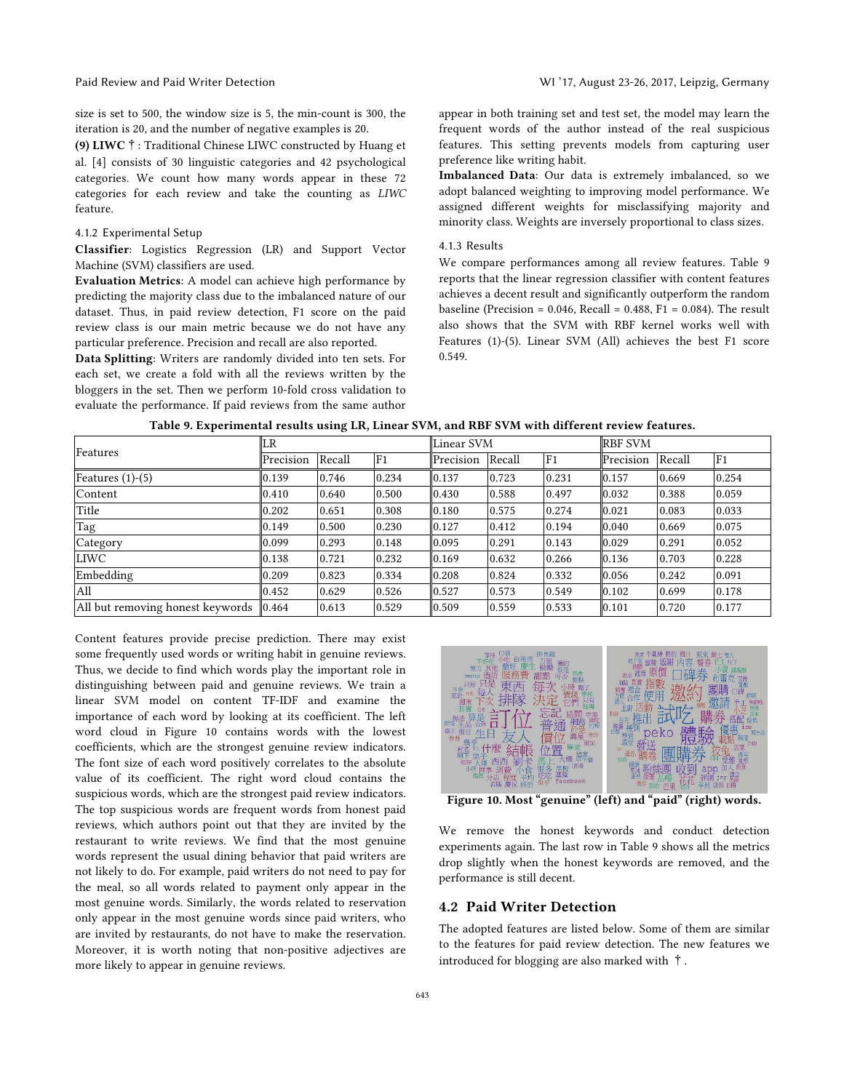size is set to 500, the window size is 5, the min-count is 300, the iteration is 20, and the number of negative examples is 20.

(9) LIWC†: Traditional Chinese LIWC constructed by Huang et al. [4] consists of 30 linguistic categories and 42 psychological categories. We count how many words appear in these 72 categories for each review and take the counting as *LIWC* feature.

#### 4.1.2 Experimental Setup

Classifier: Logistics Regression (LR) and Support Vector Machine (SVM) classifiers are used.

Evaluation Metrics: A model can achieve high performance by predicting the majority class due to the imbalanced nature of our dataset. Thus, in paid review detection, F1 score on the paid review class is our main metric because we do not have any particular preference. Precision and recall are also reported.

Data Splitting: Writers are randomly divided into ten sets. For each set, we create a fold with all the reviews written by the bloggers in the set. Then we perform 10-fold cross validation to evaluate the performance. If paid reviews from the same author

appear in both training set and test set, the model may learn the frequent words of the author instead of the real suspicious features. This setting prevents models from capturing user preference like writing habit.

Imbalanced Data: Our data is extremely imbalanced, so we adopt balanced weighting to improving model performance. We assigned different weights for misclassifying majority and minority class. Weights are inversely proportional to class sizes.

#### 4.1.3 Results

We compare performances among all review features. Table 9 reports that the linear regression classifier with content features achieves a decent result and significantly outperform the random baseline (Precision =  $0.046$ , Recall =  $0.488$ , F1 =  $0.084$ ). The result also shows that the SVM with RBF kernel works well with Features (1)-(5). Linear SVM (All) achieves the best F1 score 0.549.

| Features                                | LR        |        |                | Linear SVM |        |                | <b>RBF SVM</b> |        |                |
|-----------------------------------------|-----------|--------|----------------|------------|--------|----------------|----------------|--------|----------------|
|                                         | Precision | Recall | F <sub>1</sub> | Precision  | Recall | F <sub>1</sub> | Precision      | Recall | F <sub>1</sub> |
| Features $(1)-(5)$                      | 0.139     | 0.746  | 0.234          | 0.137      | 0.723  | 0.231          | 0.157          | 0.669  | 0.254          |
| Content                                 | 0.410     | 0.640  | 0.500          | 0.430      | 0.588  | 0.497          | 0.032          | 0.388  | 0.059          |
| Title                                   | 0.202     | 0.651  | 0.308          | 0.180      | 0.575  | 0.274          | 0.021          | 0.083  | 0.033          |
| Tag                                     | 0.149     | 0.500  | 0.230          | 0.127      | 0.412  | 0.194          | 0.040          | 0.669  | 0.075          |
| Category                                | 0.099     | 0.293  | 0.148          | 0.095      | 0.291  | 0.143          | 0.029          | 0.291  | 0.052          |
| <b>LIWC</b>                             | 0.138     | 0.721  | 0.232          | 0.169      | 0.632  | 0.266          | 0.136          | 0.703  | 0.228          |
| Embedding                               | 0.209     | 0.823  | 0.334          | 0.208      | 0.824  | 0.332          | 0.056          | 0.242  | 0.091          |
| All                                     | 0.452     | 0.629  | 0.526          | 0.527      | 0.573  | 0.549          | 0.102          | 0.699  | 0.178          |
| All but removing honest keywords  0.464 |           | 0.613  | 0.529          | 0.509      | 0.559  | 0.533          | 0.101          | 0.720  | 0.177          |

Table 9. Experimental results using LR, Linear SVM, and RBF SVM with different review features.

Content features provide precise prediction. There may exist some frequently used words or writing habit in genuine reviews. Thus, we decide to find which words play the important role in distinguishing between paid and genuine reviews. We train a linear SVM model on content TF-IDF and examine the importance of each word by looking at its coefficient. The left word cloud in Figure 10 contains words with the lowest coefficients, which are the strongest genuine review indicators. The font size of each word positively correlates to the absolute value of its coefficient. The right word cloud contains the suspicious words, which are the strongest paid review indicators. The top suspicious words are frequent words from honest paid reviews, which authors point out that they are invited by the restaurant to write reviews. We find that the most genuine words represent the usual dining behavior that paid writers are not likely to do. For example, paid writers do not need to pay for the meal, so all words related to payment only appear in the most genuine words. Similarly, the words related to reservation only appear in the most genuine words since paid writers, who are invited by restaurants, do not have to make the reservation. Moreover, it is worth noting that non-positive adjectives are more likely to appear in genuine reviews.



Figure 10. Most "genuine" (left) and "paid" (right) words.

We remove the honest keywords and conduct detection experiments again. The last row in Table 9 shows all the metrics drop slightly when the honest keywords are removed, and the performance is still decent.

## 4.2 Paid Writer Detection

The adopted features are listed below. Some of them are similar to the features for paid review detection. The new features we introduced for blogging are also marked with †.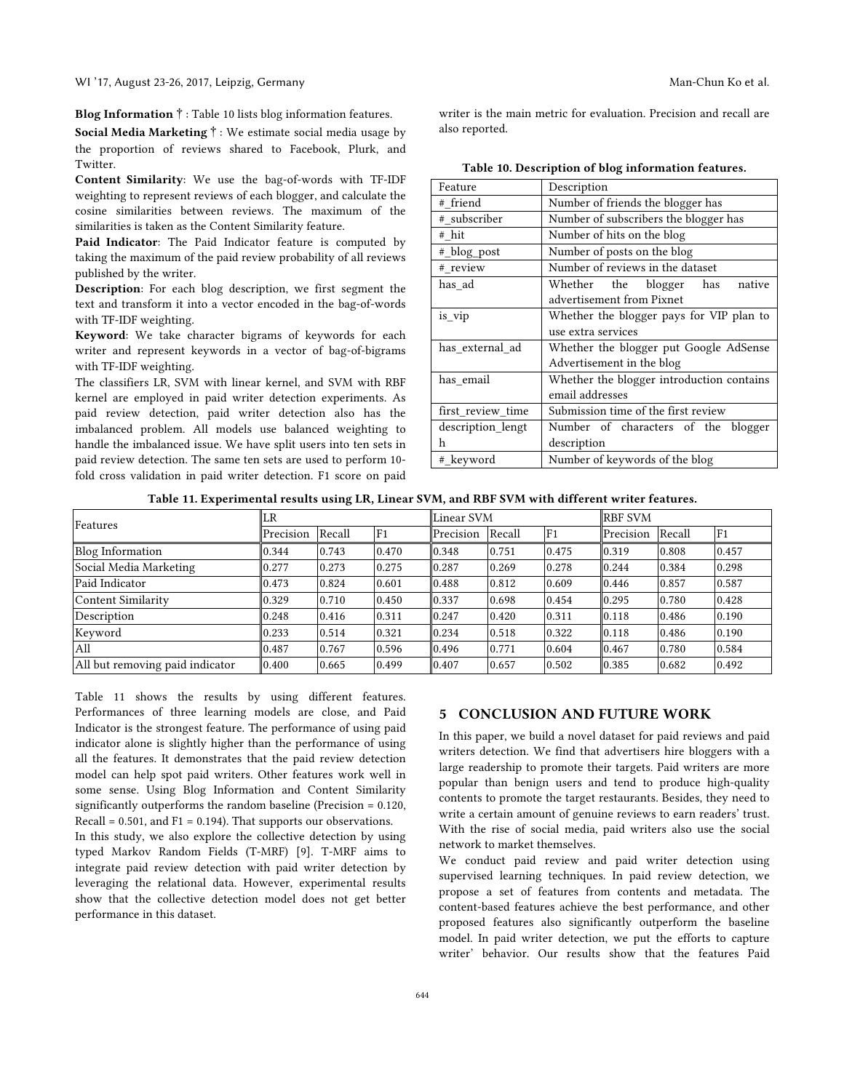#### WI '17, August 23-26, 2017, Leipzig, Germany Man-Chun Ko et al.

Blog Information†: Table 10 lists blog information features.

Social Media Marketing†: We estimate social media usage by the proportion of reviews shared to Facebook, Plurk, and Twitter.

Content Similarity: We use the bag-of-words with TF-IDF weighting to represent reviews of each blogger, and calculate the cosine similarities between reviews. The maximum of the similarities is taken as the Content Similarity feature.

Paid Indicator: The Paid Indicator feature is computed by taking the maximum of the paid review probability of all reviews published by the writer.

Description: For each blog description, we first segment the text and transform it into a vector encoded in the bag-of-words with TF-IDF weighting.

Keyword: We take character bigrams of keywords for each writer and represent keywords in a vector of bag-of-bigrams with TF-IDF weighting.

The classifiers LR, SVM with linear kernel, and SVM with RBF kernel are employed in paid writer detection experiments. As paid review detection, paid writer detection also has the imbalanced problem. All models use balanced weighting to handle the imbalanced issue. We have split users into ten sets in paid review detection. The same ten sets are used to perform 10 fold cross validation in paid writer detection. F1 score on paid

writer is the main metric for evaluation. Precision and recall are also reported.

| Feature           | Description                               |  |  |  |  |  |  |
|-------------------|-------------------------------------------|--|--|--|--|--|--|
| # friend          | Number of friends the blogger has         |  |  |  |  |  |  |
| # subscriber      | Number of subscribers the blogger has     |  |  |  |  |  |  |
| # hit             | Number of hits on the blog                |  |  |  |  |  |  |
| # blog post       | Number of posts on the blog               |  |  |  |  |  |  |
| # review          | Number of reviews in the dataset          |  |  |  |  |  |  |
| has ad            | Whether the blogger<br>has<br>native      |  |  |  |  |  |  |
|                   | advertisement from Pixnet                 |  |  |  |  |  |  |
| is_vip            | Whether the blogger pays for VIP plan to  |  |  |  |  |  |  |
|                   | use extra services                        |  |  |  |  |  |  |
| has_external_ad   | Whether the blogger put Google AdSense    |  |  |  |  |  |  |
|                   | Advertisement in the blog                 |  |  |  |  |  |  |
| has email         | Whether the blogger introduction contains |  |  |  |  |  |  |
|                   | email addresses                           |  |  |  |  |  |  |
| first_review_time | Submission time of the first review       |  |  |  |  |  |  |
| description lengt | Number of characters of the blogger       |  |  |  |  |  |  |
| h                 | description                               |  |  |  |  |  |  |
| # keyword         | Number of keywords of the blog            |  |  |  |  |  |  |

Table 11. Experimental results using LR, Linear SVM, and RBF SVM with different writer features.

| Features                        | LR        |        |                | <b>Linear SVM</b> |        |                | <b>RBF SVM</b> |        |                |
|---------------------------------|-----------|--------|----------------|-------------------|--------|----------------|----------------|--------|----------------|
|                                 | Precision | Recall | F <sub>1</sub> | Precision         | Recall | F <sub>1</sub> | Precision      | Recall | F <sub>1</sub> |
| <b>Blog Information</b>         | 0.344     | 0.743  | 0.470          | 0.348             | 0.751  | 0.475          | 0.319          | 0.808  | 0.457          |
| Social Media Marketing          | 0.277     | 0.273  | 0.275          | 0.287             | 0.269  | 0.278          | 0.244          | 0.384  | 0.298          |
| Paid Indicator                  | 0.473     | 0.824  | 0.601          | 0.488             | 0.812  | 0.609          | 0.446          | 0.857  | 0.587          |
| Content Similarity              | 0.329     | 0.710  | 0.450          | 0.337             | 0.698  | 0.454          | 0.295          | 0.780  | 0.428          |
| Description                     | 0.248     | 0.416  | 0.311          | 0.247             | 0.420  | 0.311          | 0.118          | 0.486  | 0.190          |
| Keyword                         | 0.233     | 0.514  | 0.321          | 0.234             | 0.518  | 0.322          | 0.118          | 0.486  | 0.190          |
| All                             | 0.487     | 0.767  | 0.596          | 0.496             | 0.771  | 0.604          | 0.467          | 0.780  | 0.584          |
| All but removing paid indicator | 0.400     | 0.665  | 0.499          | 0.407             | 0.657  | 0.502          | 0.385          | 0.682  | 0.492          |

Table 11 shows the results by using different features. Performances of three learning models are close, and Paid Indicator is the strongest feature. The performance of using paid indicator alone is slightly higher than the performance of using all the features. It demonstrates that the paid review detection model can help spot paid writers. Other features work well in some sense. Using Blog Information and Content Similarity significantly outperforms the random baseline (Precision = 0.120, Recall =  $0.501$ , and F1 = 0.194). That supports our observations.

In this study, we also explore the collective detection by using typed Markov Random Fields (T-MRF) [9]. T-MRF aims to integrate paid review detection with paid writer detection by leveraging the relational data. However, experimental results show that the collective detection model does not get better performance in this dataset.

# 5 CONCLUSION AND FUTURE WORK

In this paper, we build a novel dataset for paid reviews and paid writers detection. We find that advertisers hire bloggers with a large readership to promote their targets. Paid writers are more popular than benign users and tend to produce high-quality contents to promote the target restaurants. Besides, they need to write a certain amount of genuine reviews to earn readers' trust. With the rise of social media, paid writers also use the social network to market themselves.

We conduct paid review and paid writer detection using supervised learning techniques. In paid review detection, we propose a set of features from contents and metadata. The content-based features achieve the best performance, and other proposed features also significantly outperform the baseline model. In paid writer detection, we put the efforts to capture writer' behavior. Our results show that the features Paid